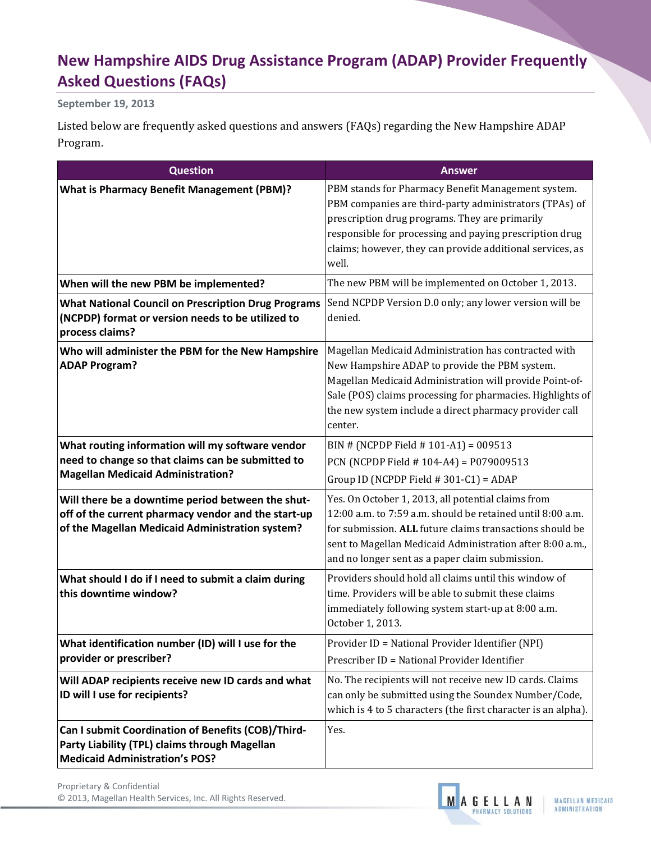## **New Hampshire AIDS Drug Assistance Program (ADAP) Provider Frequently Asked Questions (FAQs)**

**September 19, 2013**

Listed below are frequently asked questions and answers (FAQs) regarding the New Hampshire ADAP Program.

| <b>Question</b>                                                                                                                                             | <b>Answer</b>                                                                                                                                                                                                                                                                                       |
|-------------------------------------------------------------------------------------------------------------------------------------------------------------|-----------------------------------------------------------------------------------------------------------------------------------------------------------------------------------------------------------------------------------------------------------------------------------------------------|
| <b>What is Pharmacy Benefit Management (PBM)?</b>                                                                                                           | PBM stands for Pharmacy Benefit Management system.<br>PBM companies are third-party administrators (TPAs) of<br>prescription drug programs. They are primarily<br>responsible for processing and paying prescription drug<br>claims; however, they can provide additional services, as<br>well.     |
| When will the new PBM be implemented?                                                                                                                       | The new PBM will be implemented on October 1, 2013.                                                                                                                                                                                                                                                 |
| <b>What National Council on Prescription Drug Programs</b><br>(NCPDP) format or version needs to be utilized to<br>process claims?                          | Send NCPDP Version D.0 only; any lower version will be<br>denied.                                                                                                                                                                                                                                   |
| Who will administer the PBM for the New Hampshire<br><b>ADAP Program?</b>                                                                                   | Magellan Medicaid Administration has contracted with<br>New Hampshire ADAP to provide the PBM system.<br>Magellan Medicaid Administration will provide Point-of-<br>Sale (POS) claims processing for pharmacies. Highlights of<br>the new system include a direct pharmacy provider call<br>center. |
| What routing information will my software vendor<br>need to change so that claims can be submitted to<br><b>Magellan Medicaid Administration?</b>           | BIN # (NCPDP Field # 101-A1) = 009513<br>PCN (NCPDP Field $# 104-A4$ ) = P079009513<br>Group ID (NCPDP Field $# 301-C1$ ) = ADAP                                                                                                                                                                    |
| Will there be a downtime period between the shut-<br>off of the current pharmacy vendor and the start-up<br>of the Magellan Medicaid Administration system? | Yes. On October 1, 2013, all potential claims from<br>12:00 a.m. to 7:59 a.m. should be retained until 8:00 a.m.<br>for submission. ALL future claims transactions should be<br>sent to Magellan Medicaid Administration after 8:00 a.m.,<br>and no longer sent as a paper claim submission.        |
| What should I do if I need to submit a claim during<br>this downtime window?                                                                                | Providers should hold all claims until this window of<br>time. Providers will be able to submit these claims<br>immediately following system start-up at 8:00 a.m.<br>October 1, 2013.                                                                                                              |
| What identification number (ID) will I use for the<br>provider or prescriber?                                                                               | Provider ID = National Provider Identifier (NPI)<br>Prescriber ID = National Provider Identifier                                                                                                                                                                                                    |
| Will ADAP recipients receive new ID cards and what<br>ID will I use for recipients?                                                                         | No. The recipients will not receive new ID cards. Claims<br>can only be submitted using the Soundex Number/Code,<br>which is 4 to 5 characters (the first character is an alpha).                                                                                                                   |
| Can I submit Coordination of Benefits (COB)/Third-<br>Party Liability (TPL) claims through Magellan<br><b>Medicaid Administration's POS?</b>                | Yes.                                                                                                                                                                                                                                                                                                |